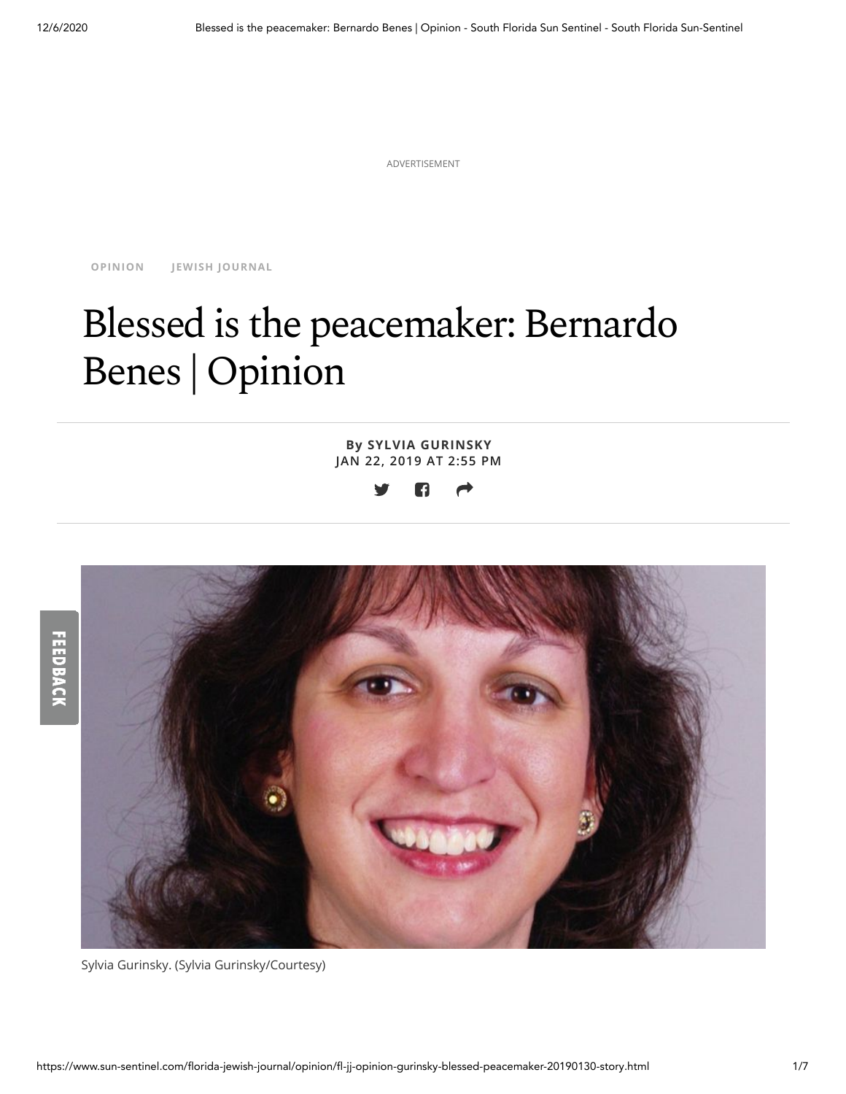ADVERTISEMENT

**[OPINION](https://www.sun-sentinel.com/florida-jewish-journal/opinion/#nt=taxonomy-article) JEWISH [JOURNAL](https://www.sun-sentinel.com/florida-jewish-journal/#nt=taxonomy-article)**

# Blessed is the peacemaker: Bernardo Benes | Opinion

**By SYLVIA GURINSKY JAN 22, 2019 AT [2:55](mailto:?subject=Blessed%20is%20the%20peacemaker%3A%20Bernardo%20Benes%20%7C%20Opinion&body=https%3A%2F%2Fwww.sun-sentinel.com%2Fflorida-jewish-journal%2Fopinion%2Ffl-jj-opinion-gurinsky-blessed-peacemaker-20190130-story.html) PM**





Sylvia Gurinsky. (Sylvia Gurinsky/Courtesy)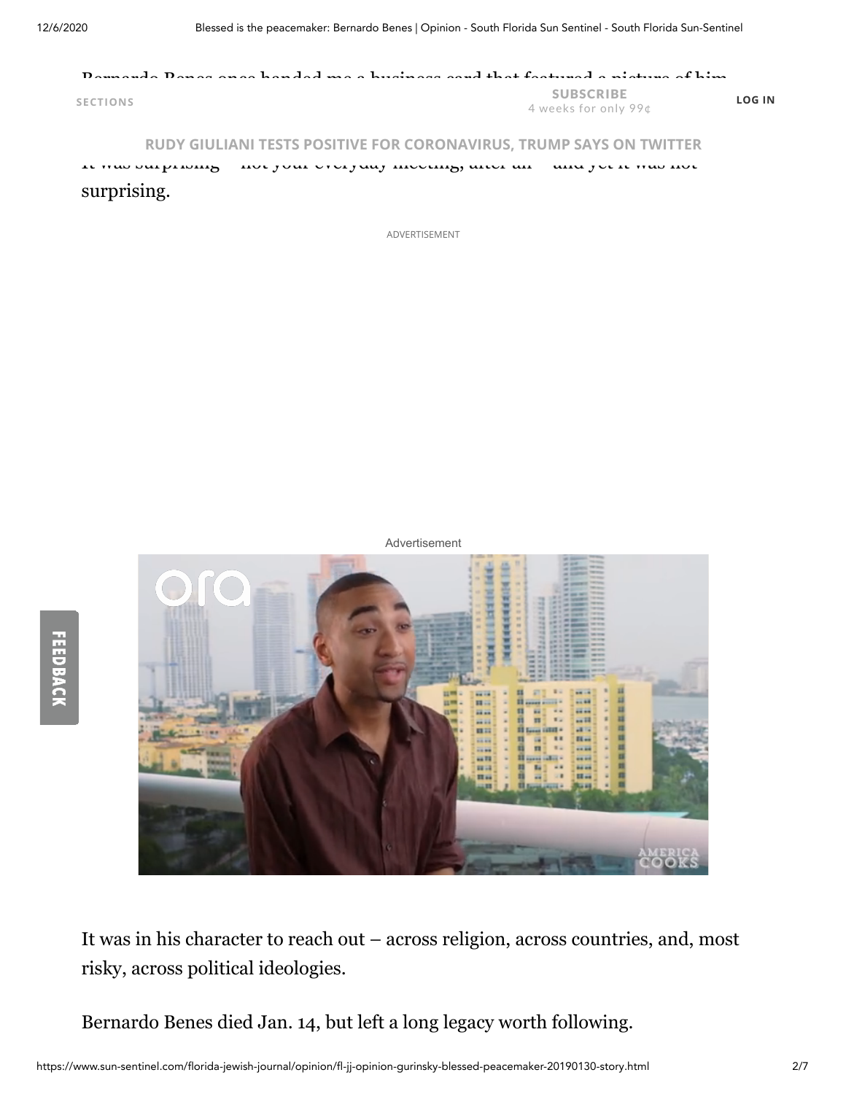FEEDBACK

#### Bernardo Benes once ha[nded me a business c](https://www.sun-sentinel.com/?#nt=mastheadnavbar)ard that featured a picture of him **SECTIONS** SUBSCRIBE 4 weeks for only 99¢ **LOG IN**

#### **[RUDY GIULIANI TESTS POSITIVE FOR CORONAVIRUS, TRUMP SAYS ON TWITTER](https://www.sun-sentinel.com/coronavirus/ct-nw-rudy-giuliani-coronavirus-20201206-eehkihbdw5hhjihayvt7vbceve-story.html#nt=screamer)**

It was surprising – not your everyday meeting, after all – and yet it was not surprising.

ADVERTISEMENT

Advertisement



It was in his character to reach out – across religion, across countries, and, most risky, across political ideologies.

Bernardo Benes died Jan. 14, but left a long legacy worth following.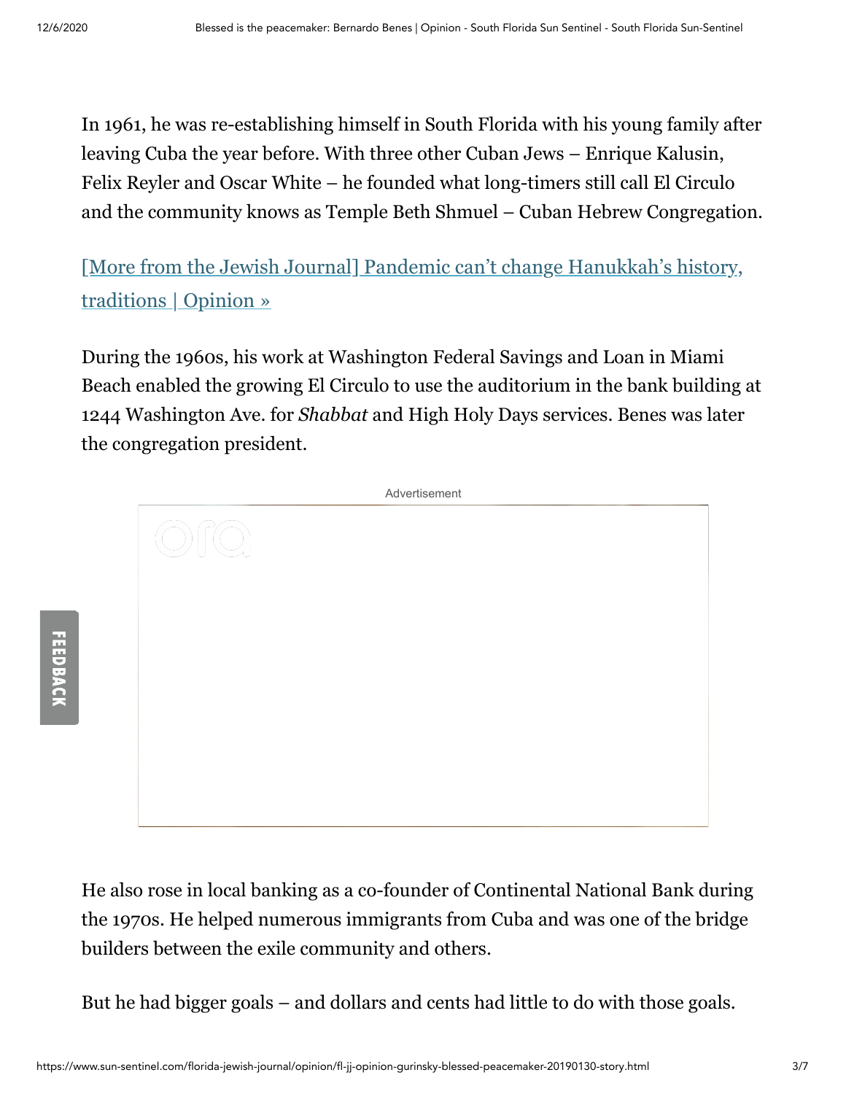In 1961, he was re-establishing himself in South Florida with his young family after leaving Cuba the year before. With three other Cuban Jews – Enrique Kalusin, Felix Reyler and Oscar White – he founded what long-timers still call El Circulo and the community knows as Temple Beth Shmuel – Cuban Hebrew Congregation.

[\[More from the Jewish Journal\] Pandemic can't change Hanukkah's history,](https://www.sun-sentinel.com/florida-jewish-journal/opinion/fl-jj-opinion-goch-hanukkah-message-20201203-gf4ndqxdivewdgef6dzsey736q-story.html#nt=interstitial-auto) traditions | Opinion »

During the 1960s, his work at Washington Federal Savings and Loan in Miami Beach enabled the growing El Circulo to use the auditorium in the bank building at 1244 Washington Ave. for *Shabbat* and High Holy Days services. Benes was later the congregation president.



He also rose in local banking as a co-founder of Continental National Bank during the 1970s. He helped numerous immigrants from Cuba and was one of the bridge builders between the exile community and others.

But he had bigger goals – and dollars and cents had little to do with those goals.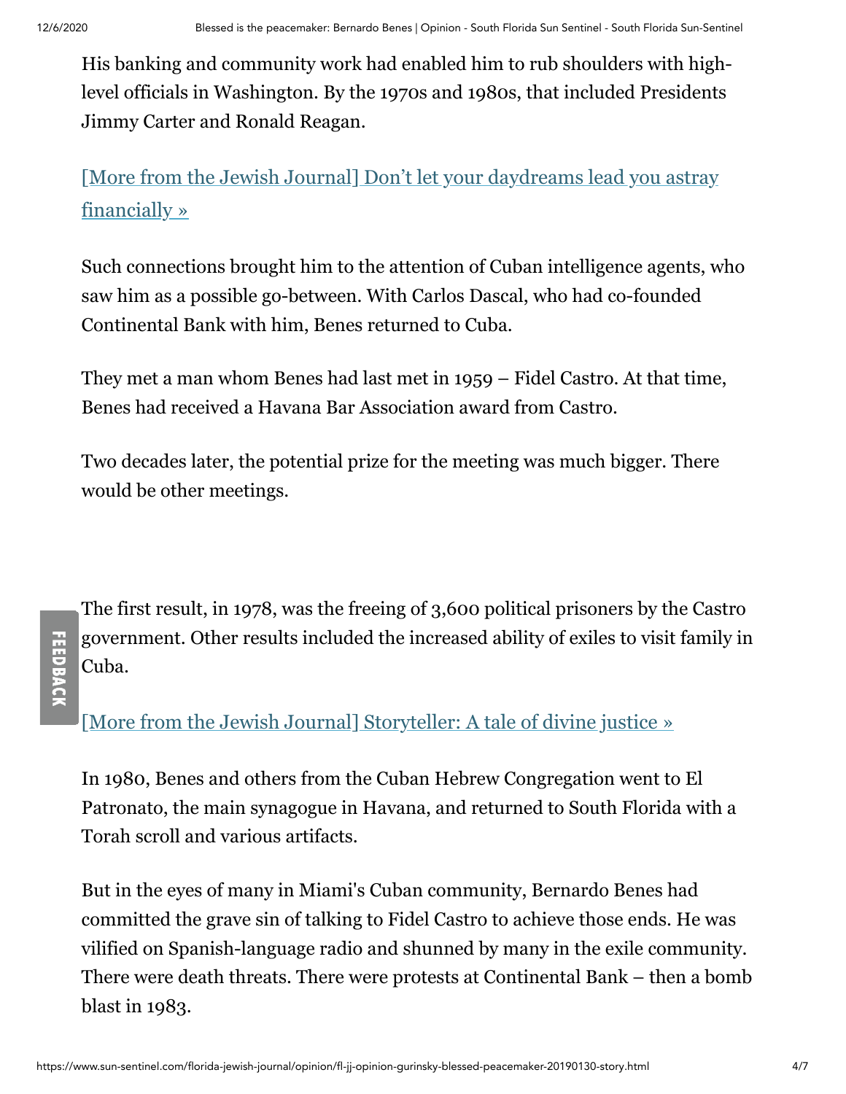His banking and community work had enabled him to rub shoulders with highlevel officials in Washington. By the 1970s and 1980s, that included Presidents Jimmy Carter and Ronald Reagan.

[\[More from the Jewish Journal\] Don't let your daydreams lead you astray](https://www.sun-sentinel.com/florida-jewish-journal/opinion/fl-jj-finance-rosner-dont-let-your-daydreams-lead-you-astray-20201201-tbqfnpxkgvef7ksmdjozu35r7i-story.html#nt=interstitial-auto) financially »

Such connections brought him to the attention of Cuban intelligence agents, who saw him as a possible go-between. With Carlos Dascal, who had co-founded Continental Bank with him, Benes returned to Cuba.

They met a man whom Benes had last met in 1959 – Fidel Castro. At that time, Benes had received a Havana Bar Association award from Castro.

Two decades later, the potential prize for the meeting was much bigger. There would be other meetings.

# **FEEDBACK**

The first result, in 1978, was the freeing of 3,600 political prisoners by the Castro government. Other results included the increased ability of exiles to visit family in Cuba.

[\[More from the Jewish Journal\] Storyteller: A tale of divine justice »](https://www.sun-sentinel.com/florida-jewish-journal/opinion/fl-jj-storyteller-neile-divine-justice-20201201-46wdxo7si5e2fmwshydxmveiom-story.html#nt=interstitial-auto)

In 1980, Benes and others from the Cuban Hebrew Congregation went to El Patronato, the main synagogue in Havana, and returned to South Florida with a Torah scroll and various artifacts.

But in the eyes of many in Miami's Cuban community, Bernardo Benes had committed the grave sin of talking to Fidel Castro to achieve those ends. He was vilified on Spanish-language radio and shunned by many in the exile community. There were death threats. There were protests at Continental Bank – then a bomb blast in 1983.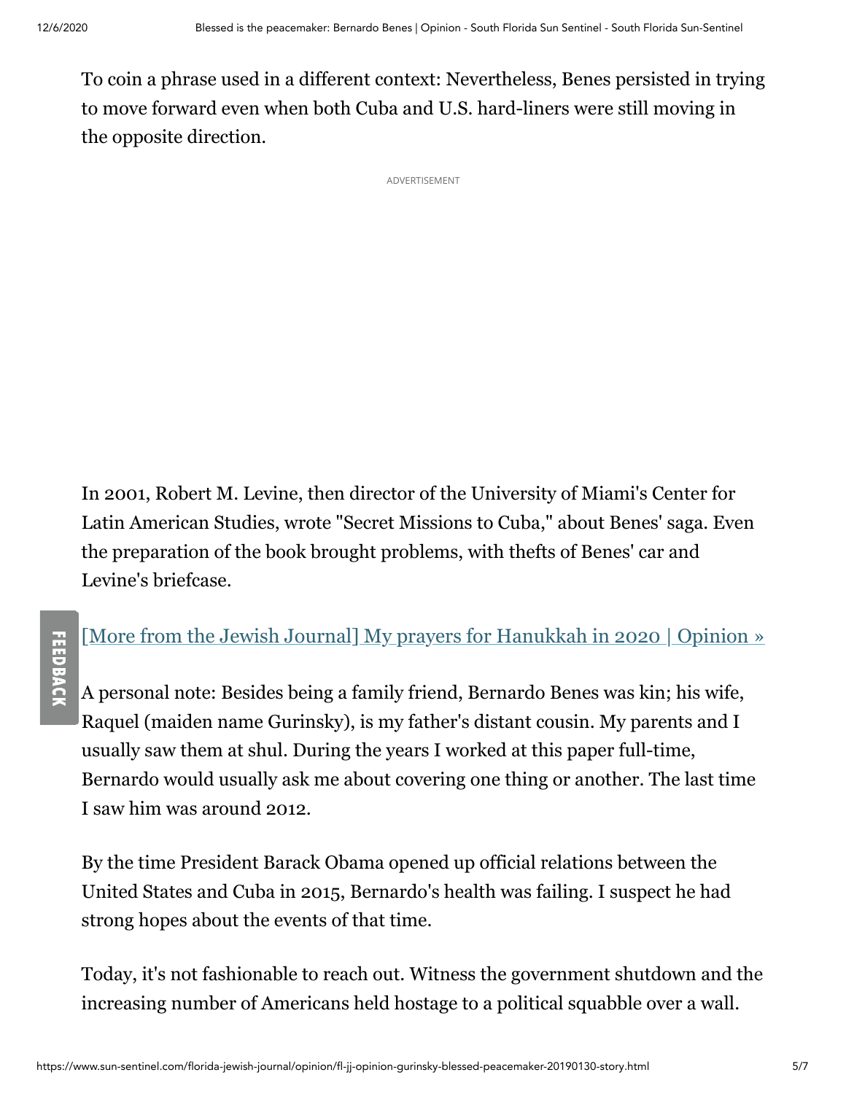**FEEDBACI** 

To coin a phrase used in a different context: Nevertheless, Benes persisted in trying to move forward even when both Cuba and U.S. hard-liners were still moving in the opposite direction.

ADVERTISEMENT

In 2001, Robert M. Levine, then director of the University of Miami's Center for Latin American Studies, wrote "Secret Missions to Cuba," about Benes' saga. Even the preparation of the book brought problems, with thefts of Benes' car and Levine's briefcase.

### [\[More from the Jewish Journal\] My prayers for Hanukkah in 2020 | Opinion »](https://www.sun-sentinel.com/florida-jewish-journal/opinion/fl-jj-opinion-freed-my-prayers-hanukkah-2020-20201201-7i7urg54wjdapcbeo2vq35lxlq-story.html#nt=interstitial-auto)

A personal note: Besides being a family friend, Bernardo Benes was kin; his wife, Raquel (maiden name Gurinsky), is my father's distant cousin. My parents and I usually saw them at shul. During the years I worked at this paper full-time, Bernardo would usually ask me about covering one thing or another. The last time I saw him was around 2012.

By the time President Barack Obama opened up official relations between the United States and Cuba in 2015, Bernardo's health was failing. I suspect he had strong hopes about the events of that time.

Today, it's not fashionable to reach out. Witness the government shutdown and the increasing number of Americans held hostage to a political squabble over a wall.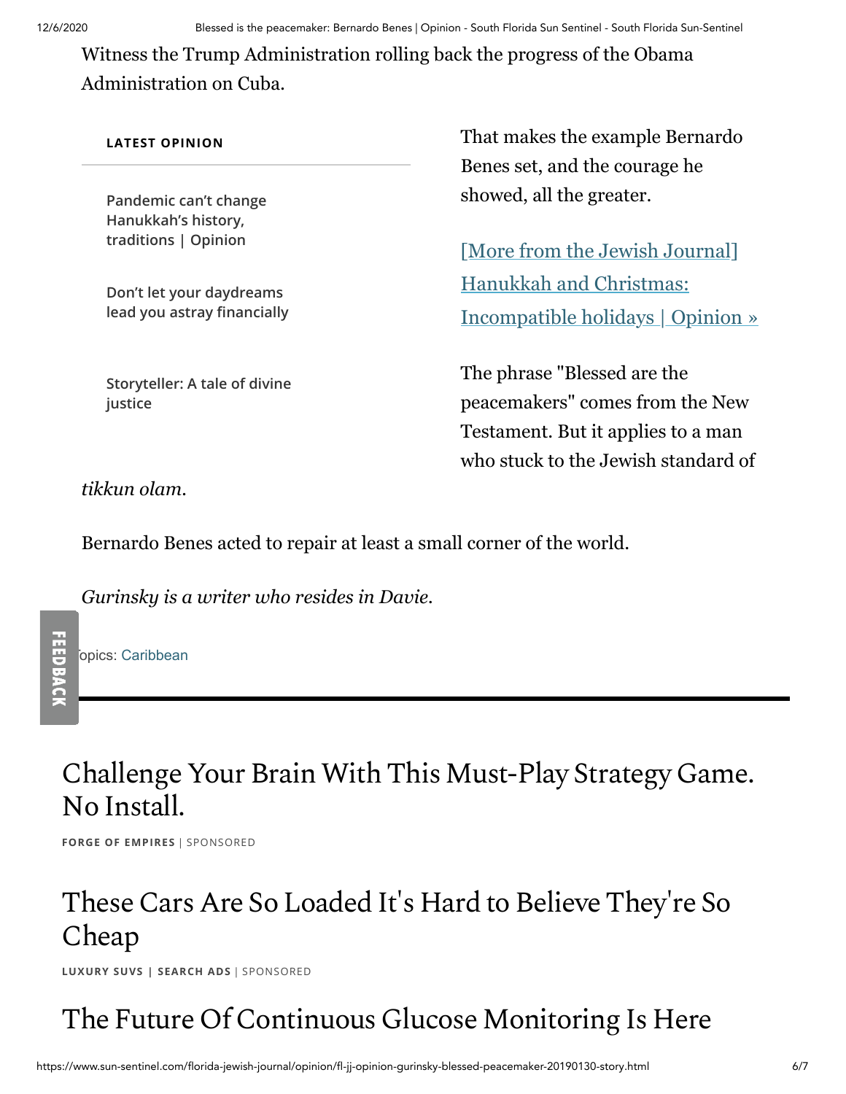Witness the Trump Administration rolling back the progress of the Obama Administration on Cuba.

#### **LATEST OPINION**

**[Pandemic can't change](https://www.sun-sentinel.com/florida-jewish-journal/opinion/fl-jj-opinion-goch-hanukkah-message-20201203-gf4ndqxdivewdgef6dzsey736q-story.html#nt=latestnews&rt=chartbeat-flt) Hanukkah's history, traditions | Opinion**

**Don't let your daydreams [lead you astray financially](https://www.sun-sentinel.com/florida-jewish-journal/opinion/fl-jj-finance-rosner-dont-let-your-daydreams-lead-you-astray-20201201-tbqfnpxkgvef7ksmdjozu35r7i-story.html#nt=latestnews&rt=chartbeat-flt)**

**[Storyteller: A tale of divine](https://www.sun-sentinel.com/florida-jewish-journal/opinion/fl-jj-storyteller-neile-divine-justice-20201201-46wdxo7si5e2fmwshydxmveiom-story.html#nt=latestnews&rt=chartbeat-flt) justice**

That makes the example Bernardo Benes set, and the courage he showed, all the greater.

[More from the Jewish Journal] Hanukkah and Christmas: [Incompatible holidays | Opinion »](https://www.sun-sentinel.com/florida-jewish-journal/opinion/fl-jj-opinion-roth-hanukkah-christmas-incompatible-holidays-20201130-r5dn6c7j5jgtpgb4b52ryrywwy-story.html#nt=interstitial-auto)

The phrase "Blessed are the peacemakers" comes from the New Testament. But it applies to a man who stuck to the Jewish standard of

*tikkun olam.*

Bernardo Benes acted to repair at least a small corner of the world.

*Gurinsky is a writer who resides in Davie.*

opics: [Caribbean](https://www.sun-sentinel.com/topic/caribbean-topic.html#nt=taxonomy-article-inbody)

**FEEDBACK** 

## Challenge Your Brain With This Must-Play Strategy Game. No Install.

**FORGE OF EMPIRES** | [SPONSORED](https://popup.taboola.com/en/?template=colorbox&utm_source=tribunedigital-sunsentinel&utm_medium=referral&utm_content=thumbs-feed-05:below-article-thumbs_ARC%20|%20Card%201:)

#### These Cars Are So Loaded It's Hard to Believe They' re So Cheap

**LUXURY SUVS | SEARCH ADS** | [SPONSORED](https://popup.taboola.com/en/?template=colorbox&utm_source=tribunedigital-sunsentinel&utm_medium=referral&utm_content=thumbs-feed-06:below-article-thumbs_ARC%20|%20Card%202:)

# The Future Of Continuous Glucose Monitoring Is Here